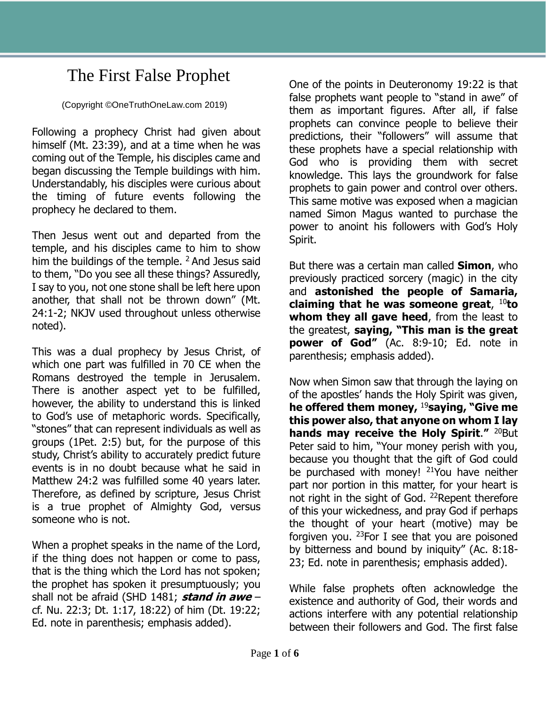## The First False Prophet

(Copyright ©OneTruthOneLaw.com 2019)

Following a prophecy Christ had given about himself (Mt. 23:39), and at a time when he was coming out of the Temple, his disciples came and began discussing the Temple buildings with him. Understandably, his disciples were curious about the timing of future events following the prophecy he declared to them.

Then Jesus went out and departed from the temple, and his disciples came to him to show him the buildings of the temple. <sup>2</sup> And Jesus said to them, "Do you see all these things? Assuredly, I say to you, not one stone shall be left here upon another, that shall not be thrown down" (Mt. 24:1-2; NKJV used throughout unless otherwise noted).

This was a dual prophecy by Jesus Christ, of which one part was fulfilled in 70 CE when the Romans destroyed the temple in Jerusalem. There is another aspect yet to be fulfilled, however, the ability to understand this is linked to God's use of metaphoric words. Specifically, "stones" that can represent individuals as well as groups (1Pet. 2:5) but, for the purpose of this study, Christ's ability to accurately predict future events is in no doubt because what he said in Matthew 24:2 was fulfilled some 40 years later. Therefore, as defined by scripture, Jesus Christ is a true prophet of Almighty God, versus someone who is not.

When a prophet speaks in the name of the Lord, if the thing does not happen or come to pass, that is the thing which the Lord has not spoken; the prophet has spoken it presumptuously; you shall not be afraid (SHD 1481; **stand in awe** – cf. Nu. 22:3; Dt. 1:17, 18:22) of him (Dt. 19:22; Ed. note in parenthesis; emphasis added).

One of the points in Deuteronomy 19:22 is that false prophets want people to "stand in awe" of them as important figures. After all, if false prophets can convince people to believe their predictions, their "followers" will assume that these prophets have a special relationship with God who is providing them with secret knowledge. This lays the groundwork for false prophets to gain power and control over others. This same motive was exposed when a magician named Simon Magus wanted to purchase the power to anoint his followers with God's Holy Spirit.

But there was a certain man called **Simon**, who previously practiced sorcery (magic) in the city and **astonished the people of Samaria, claiming that he was someone great**, <sup>10</sup>**to whom they all gave heed**, from the least to the greatest, **saying, "This man is the great power of God"** (Ac. 8:9-10; Ed. note in parenthesis; emphasis added).

Now when Simon saw that through the laying on of the apostles' hands the Holy Spirit was given, **he offered them money,** <sup>19</sup>**saying, "Give me this power also, that anyone on whom I lay hands may receive the Holy Spirit."** 20But Peter said to him, "Your money perish with you, because you thought that the gift of God could be purchased with money! <sup>21</sup>You have neither part nor portion in this matter, for your heart is not right in the sight of God. <sup>22</sup>Repent therefore of this your wickedness, and pray God if perhaps the thought of your heart (motive) may be forgiven you.  $23$  For I see that you are poisoned by bitterness and bound by iniquity" (Ac. 8:18- 23; Ed. note in parenthesis; emphasis added).

While false prophets often acknowledge the existence and authority of God, their words and actions interfere with any potential relationship between their followers and God. The first false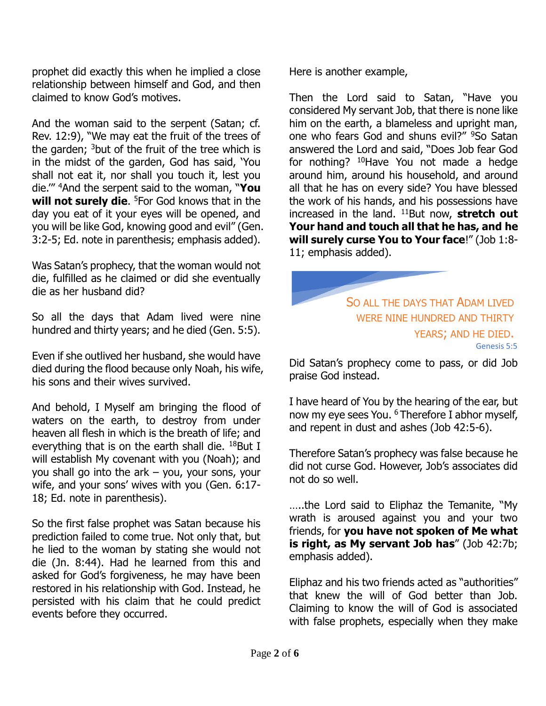prophet did exactly this when he implied a close relationship between himself and God, and then claimed to know God's motives.

And the woman said to the serpent (Satan; cf. Rev. 12:9), "We may eat the fruit of the trees of the garden;  $3$  but of the fruit of the tree which is in the midst of the garden, God has said, 'You shall not eat it, nor shall you touch it, lest you die.'" <sup>4</sup>And the serpent said to the woman, "**You will not surely die**. <sup>5</sup>For God knows that in the day you eat of it your eyes will be opened, and you will be like God, knowing good and evil" (Gen. 3:2-5; Ed. note in parenthesis; emphasis added).

Was Satan's prophecy, that the woman would not die, fulfilled as he claimed or did she eventually die as her husband did?

So all the days that Adam lived were nine hundred and thirty years; and he died (Gen. 5:5).

Even if she outlived her husband, she would have died during the flood because only Noah, his wife, his sons and their wives survived.

And behold, I Myself am bringing the flood of waters on the earth, to destroy from under heaven all flesh in which is the breath of life; and everything that is on the earth shall die.  $18$ But I will establish My covenant with you (Noah); and you shall go into the ark – you, your sons, your wife, and your sons' wives with you (Gen. 6:17- 18; Ed. note in parenthesis).

So the first false prophet was Satan because his prediction failed to come true. Not only that, but he lied to the woman by stating she would not die (Jn. 8:44). Had he learned from this and asked for God's forgiveness, he may have been restored in his relationship with God. Instead, he persisted with his claim that he could predict events before they occurred.

Here is another example,

Then the Lord said to Satan, "Have you considered My servant Job, that there is none like him on the earth, a blameless and upright man, one who fears God and shuns evil?" <sup>9</sup>So Satan answered the Lord and said, "Does Job fear God for nothing? <sup>10</sup>Have You not made a hedge around him, around his household, and around all that he has on every side? You have blessed the work of his hands, and his possessions have increased in the land. <sup>11</sup>But now, **stretch out Your hand and touch all that he has, and he will surely curse You to Your face**!" (Job 1:8- 11; emphasis added).

> SO ALL THE DAYS THAT ADAM LIVED WERE NINE HUNDRED AND THIRTY YEARS; AND HE DIED. Genesis 5:5

Did Satan's prophecy come to pass, or did Job praise God instead.

I have heard of You by the hearing of the ear, but now my eye sees You. <sup>6</sup> Therefore I abhor myself, and repent in dust and ashes (Job 42:5-6).

Therefore Satan's prophecy was false because he did not curse God. However, Job's associates did not do so well.

…..the Lord said to Eliphaz the Temanite, "My wrath is aroused against you and your two friends, for **you have not spoken of Me what is right, as My servant Job has**" (Job 42:7b; emphasis added).

Eliphaz and his two friends acted as "authorities" that knew the will of God better than Job. Claiming to know the will of God is associated with false prophets, especially when they make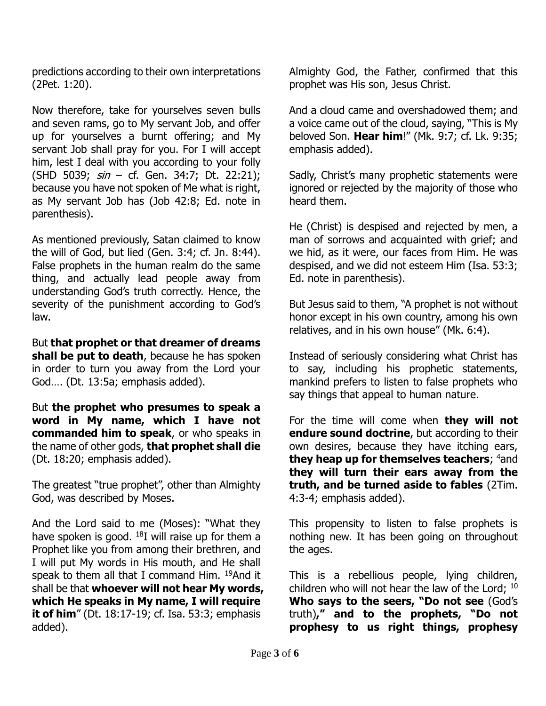predictions according to their own interpretations (2Pet. 1:20).

Now therefore, take for yourselves seven bulls and seven rams, go to My servant Job, and offer up for yourselves a burnt offering; and My servant Job shall pray for you. For I will accept him, lest I deal with you according to your folly (SHD 5039;  $sin - cf.$  Gen. 34:7; Dt. 22:21); because you have not spoken of Me what is right, as My servant Job has (Job 42:8; Ed. note in parenthesis).

As mentioned previously, Satan claimed to know the will of God, but lied (Gen. 3:4; cf. Jn. 8:44). False prophets in the human realm do the same thing, and actually lead people away from understanding God's truth correctly. Hence, the severity of the punishment according to God's law.

But **that prophet or that dreamer of dreams shall be put to death**, because he has spoken in order to turn you away from the Lord your God…. (Dt. 13:5a; emphasis added).

But **the prophet who presumes to speak a word in My name, which I have not commanded him to speak**, or who speaks in the name of other gods, **that prophet shall die** (Dt. 18:20; emphasis added).

The greatest "true prophet", other than Almighty God, was described by Moses.

And the Lord said to me (Moses): "What they have spoken is good.  $^{18}$ I will raise up for them a Prophet like you from among their brethren, and I will put My words in His mouth, and He shall speak to them all that I command Him. <sup>19</sup>And it shall be that **whoever will not hear My words, which He speaks in My name, I will require it of him**" (Dt. 18:17-19; cf. Isa. 53:3; emphasis added).

Almighty God, the Father, confirmed that this prophet was His son, Jesus Christ.

And a cloud came and overshadowed them; and a voice came out of the cloud, saying, "This is My beloved Son. **Hear him**!" (Mk. 9:7; cf. Lk. 9:35; emphasis added).

Sadly, Christ's many prophetic statements were ignored or rejected by the majority of those who heard them.

He (Christ) is despised and rejected by men, a man of sorrows and acquainted with grief; and we hid, as it were, our faces from Him. He was despised, and we did not esteem Him (Isa. 53:3; Ed. note in parenthesis).

But Jesus said to them, "A prophet is not without honor except in his own country, among his own relatives, and in his own house" (Mk. 6:4).

Instead of seriously considering what Christ has to say, including his prophetic statements, mankind prefers to listen to false prophets who say things that appeal to human nature.

For the time will come when **they will not endure sound doctrine**, but according to their own desires, because they have itching ears, **they heap up for themselves teachers**; <sup>4</sup>and **they will turn their ears away from the truth, and be turned aside to fables** (2Tim. 4:3-4; emphasis added).

This propensity to listen to false prophets is nothing new. It has been going on throughout the ages.

This is a rebellious people, lying children, children who will not hear the law of the Lord; <sup>10</sup> **Who says to the seers, "Do not see** (God's truth)**," and to the prophets, "Do not prophesy to us right things, prophesy**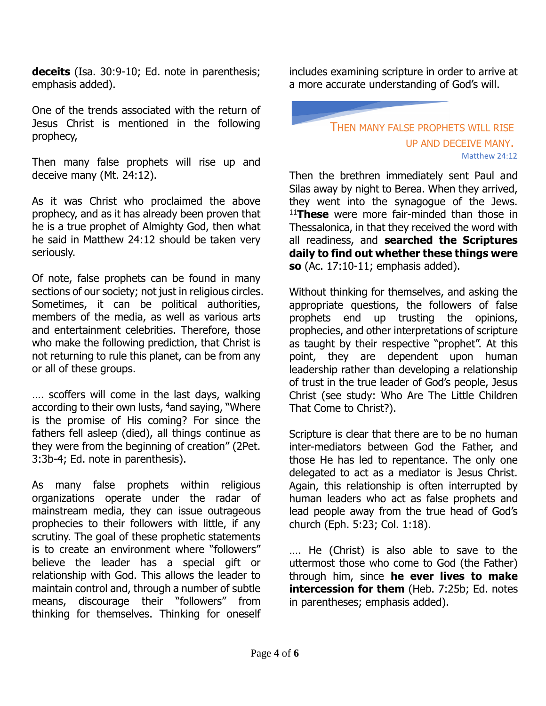**deceits** (Isa. 30:9-10; Ed. note in parenthesis; emphasis added).

One of the trends associated with the return of Jesus Christ is mentioned in the following prophecy,

Then many false prophets will rise up and deceive many (Mt. 24:12).

As it was Christ who proclaimed the above prophecy, and as it has already been proven that he is a true prophet of Almighty God, then what he said in Matthew 24:12 should be taken very seriously.

Of note, false prophets can be found in many sections of our society; not just in religious circles. Sometimes, it can be political authorities, members of the media, as well as various arts and entertainment celebrities. Therefore, those who make the following prediction, that Christ is not returning to rule this planet, can be from any or all of these groups.

…. scoffers will come in the last days, walking according to their own lusts, <sup>4</sup>and saying, "Where is the promise of His coming? For since the fathers fell asleep (died), all things continue as they were from the beginning of creation" (2Pet. 3:3b-4; Ed. note in parenthesis).

As many false prophets within religious organizations operate under the radar of mainstream media, they can issue outrageous prophecies to their followers with little, if any scrutiny. The goal of these prophetic statements is to create an environment where "followers" believe the leader has a special gift or relationship with God. This allows the leader to maintain control and, through a number of subtle means, discourage their "followers" from thinking for themselves. Thinking for oneself includes examining scripture in order to arrive at a more accurate understanding of God's will.

## THEN MANY FALSE PROPHETS WILL RISE UP AND DECEIVE MANY. Matthew 24:12

Then the brethren immediately sent Paul and Silas away by night to Berea. When they arrived, they went into the synagogue of the Jews. <sup>11</sup>**These** were more fair-minded than those in Thessalonica, in that they received the word with all readiness, and **searched the Scriptures daily to find out whether these things were so** (Ac. 17:10-11; emphasis added).

Without thinking for themselves, and asking the appropriate questions, the followers of false prophets end up trusting the opinions, prophecies, and other interpretations of scripture as taught by their respective "prophet". At this point, they are dependent upon human leadership rather than developing a relationship of trust in the true leader of God's people, Jesus Christ (see study: Who Are The Little Children That Come to Christ?).

Scripture is clear that there are to be no human inter-mediators between God the Father, and those He has led to repentance. The only one delegated to act as a mediator is Jesus Christ. Again, this relationship is often interrupted by human leaders who act as false prophets and lead people away from the true head of God's church (Eph. 5:23; Col. 1:18).

…. He (Christ) is also able to save to the uttermost those who come to God (the Father) through him, since **he ever lives to make intercession for them** (Heb. 7:25b; Ed. notes in parentheses; emphasis added).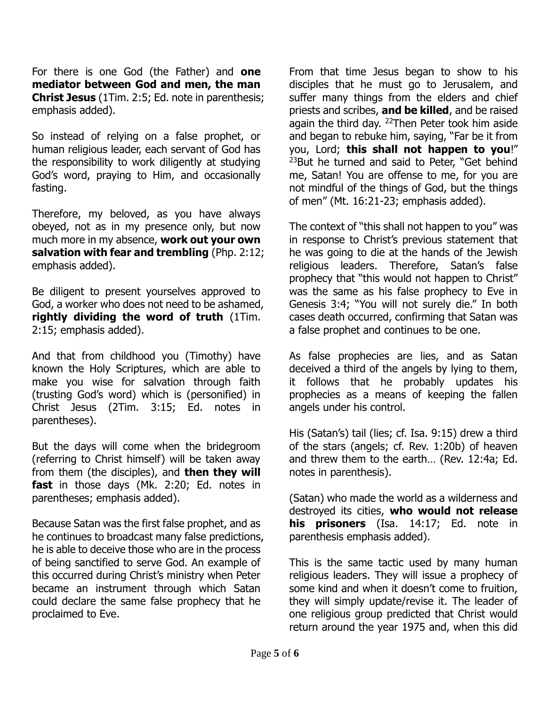For there is one God (the Father) and **one mediator between God and men, the man Christ Jesus** (1Tim. 2:5; Ed. note in parenthesis; emphasis added).

So instead of relying on a false prophet, or human religious leader, each servant of God has the responsibility to work diligently at studying God's word, praying to Him, and occasionally fasting.

Therefore, my beloved, as you have always obeyed, not as in my presence only, but now much more in my absence, **work out your own salvation with fear and trembling** (Php. 2:12; emphasis added).

Be diligent to present yourselves approved to God, a worker who does not need to be ashamed, **rightly dividing the word of truth** (1Tim. 2:15; emphasis added).

And that from childhood you (Timothy) have known the Holy Scriptures, which are able to make you wise for salvation through faith (trusting God's word) which is (personified) in Christ Jesus (2Tim. 3:15; Ed. notes in parentheses).

But the days will come when the bridegroom (referring to Christ himself) will be taken away from them (the disciples), and **then they will fast** in those days (Mk. 2:20; Ed. notes in parentheses; emphasis added).

Because Satan was the first false prophet, and as he continues to broadcast many false predictions, he is able to deceive those who are in the process of being sanctified to serve God. An example of this occurred during Christ's ministry when Peter became an instrument through which Satan could declare the same false prophecy that he proclaimed to Eve.

From that time Jesus began to show to his disciples that he must go to Jerusalem, and suffer many things from the elders and chief priests and scribes, **and be killed**, and be raised again the third day. <sup>22</sup>Then Peter took him aside and began to rebuke him, saying, "Far be it from you, Lord; **this shall not happen to you**!" <sup>23</sup>But he turned and said to Peter, "Get behind me, Satan! You are offense to me, for you are not mindful of the things of God, but the things of men" (Mt. 16:21-23; emphasis added).

The context of "this shall not happen to you" was in response to Christ's previous statement that he was going to die at the hands of the Jewish religious leaders. Therefore, Satan's false prophecy that "this would not happen to Christ" was the same as his false prophecy to Eve in Genesis 3:4; "You will not surely die." In both cases death occurred, confirming that Satan was a false prophet and continues to be one.

As false prophecies are lies, and as Satan deceived a third of the angels by lying to them, it follows that he probably updates his prophecies as a means of keeping the fallen angels under his control.

His (Satan's) tail (lies; cf. Isa. 9:15) drew a third of the stars (angels; cf. Rev. 1:20b) of heaven and threw them to the earth… (Rev. 12:4a; Ed. notes in parenthesis).

(Satan) who made the world as a wilderness and destroyed its cities, **who would not release his prisoners** (Isa. 14:17; Ed. note in parenthesis emphasis added).

This is the same tactic used by many human religious leaders. They will issue a prophecy of some kind and when it doesn't come to fruition, they will simply update/revise it. The leader of one religious group predicted that Christ would return around the year 1975 and, when this did